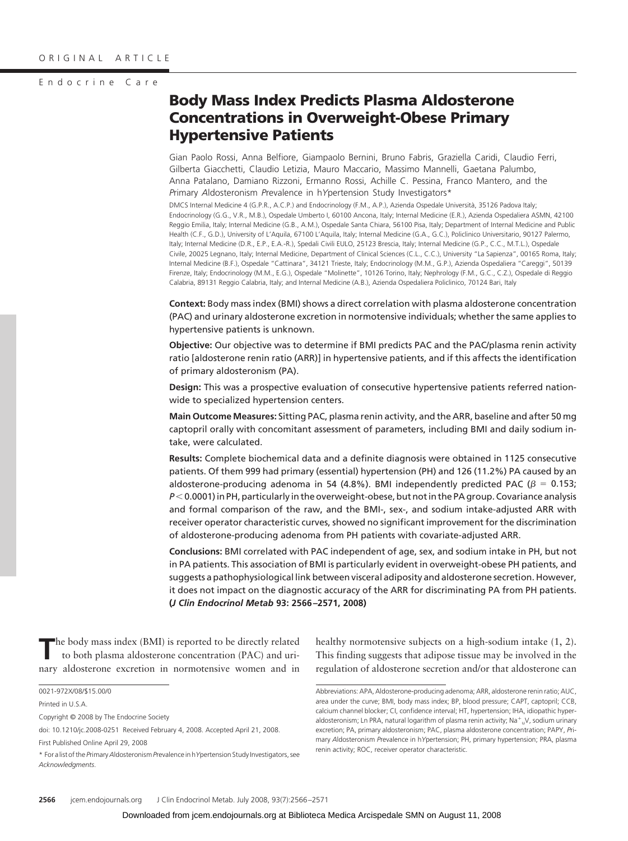### Endocrine Care

# **Body Mass Index Predicts Plasma Aldosterone Concentrations in Overweight-Obese Primary Hypertensive Patients**

Gian Paolo Rossi, Anna Belfiore, Giampaolo Bernini, Bruno Fabris, Graziella Caridi, Claudio Ferri, Gilberta Giacchetti, Claudio Letizia, Mauro Maccario, Massimo Mannelli, Gaetana Palumbo, Anna Patalano, Damiano Rizzoni, Ermanno Rossi, Achille C. Pessina, Franco Mantero, and the *P*rimary *A*ldosteronism *P*revalence in h*Y*pertension Study Investigators\*

DMCS Internal Medicine 4 (G.P.R., A.C.P.) and Endocrinology (F.M., A.P.), Azienda Ospedale Università, 35126 Padova Italy; Endocrinology (G.G., V.R., M.B.), Ospedale Umberto I, 60100 Ancona, Italy; Internal Medicine (E.R.), Azienda Ospedaliera ASMN, 42100 Reggio Emilia, Italy; Internal Medicine (G.B., A.M.), Ospedale Santa Chiara, 56100 Pisa, Italy; Department of Internal Medicine and Public Health (C.F., G.D.), University of L'Aquila, 67100 L'Aquila, Italy; Internal Medicine (G.A., G.C.), Policlinico Universitario, 90127 Palermo, Italy; Internal Medicine (D.R., E.P., E.A.-R.), Spedali Civili EULO, 25123 Brescia, Italy; Internal Medicine (G.P., C.C., M.T.L.), Ospedale Civile, 20025 Legnano, Italy; Internal Medicine, Department of Clinical Sciences (C.L., C.C.), University "La Sapienza", 00165 Roma, Italy; Internal Medicine (B.F.), Ospedale "Cattinara", 34121 Trieste, Italy; Endocrinology (M.M., G.P.), Azienda Ospedaliera "Careggi", 50139 Firenze, Italy; Endocrinology (M.M., E.G.), Ospedale "Molinette", 10126 Torino, Italy; Nephrology (F.M., G.C., C.Z.), Ospedale di Reggio Calabria, 89131 Reggio Calabria, Italy; and Internal Medicine (A.B.), Azienda Ospedaliera Policlinico, 70124 Bari, Italy

**Context:** Body mass index (BMI) shows a direct correlation with plasma aldosterone concentration (PAC) and urinary aldosterone excretion in normotensive individuals; whether the same applies to hypertensive patients is unknown.

**Objective:** Our objective was to determine if BMI predicts PAC and the PAC/plasma renin activity ratio [aldosterone renin ratio (ARR)] in hypertensive patients, and if this affects the identification of primary aldosteronism (PA).

**Design:** This was a prospective evaluation of consecutive hypertensive patients referred nationwide to specialized hypertension centers.

**Main Outcome Measures:** Sitting PAC, plasma renin activity, and the ARR, baseline and after 50 mg captopril orally with concomitant assessment of parameters, including BMI and daily sodium intake, were calculated.

**Results:** Complete biochemical data and a definite diagnosis were obtained in 1125 consecutive patients. Of them 999 had primary (essential) hypertension (PH) and 126 (11.2%) PA caused by an aldosterone-producing adenoma in 54 (4.8%). BMI independently predicted PAC ( $\beta = 0.153$ ; *P* - 0.0001) in PH, particularly in the overweight-obese, but not in the PA group. Covariance analysis and formal comparison of the raw, and the BMI-, sex-, and sodium intake-adjusted ARR with receiver operator characteristic curves, showed no significant improvement for the discrimination of aldosterone-producing adenoma from PH patients with covariate-adjusted ARR.

**Conclusions:** BMI correlated with PAC independent of age, sex, and sodium intake in PH, but not in PA patients. This association of BMI is particularly evident in overweight-obese PH patients, and suggests a pathophysiological link between visceral adiposity and aldosterone secretion. However, it does not impact on the diagnostic accuracy of the ARR for discriminating PA from PH patients. **(***J Clin Endocrinol Metab* **93: 2566 –2571, 2008)**

**T**he body mass index (BMI) is reported to be directly related to both plasma aldosterone concentration (PAC) and urinary aldosterone excretion in normotensive women and in

0021-972X/08/\$15.00/0

Printed in U.S.A.

Copyright © 2008 by The Endocrine Society

doi: 10.1210/jc.2008-0251 Received February 4, 2008. Accepted April 21, 2008.

First Published Online April 29, 2008

healthy normotensive subjects on a high-sodium intake (1, 2). This finding suggests that adipose tissue may be involved in the regulation of aldosterone secretion and/or that aldosterone can

<sup>\*</sup> For a list of the *P*rimary*A*ldosteronism *P*revalence in h*Y*pertension Study Investigators, see *Acknowledgments*.

Abbreviations: APA, Aldosterone-producing adenoma; ARR, aldosterone renin ratio; AUC, area under the curve; BMI, body mass index; BP, blood pressure; CAPT, captopril; CCB, calcium channel blocker; CI, confidence interval; HT, hypertension; IHA, idiopathic hyperaldosteronism; Ln PRA, natural logarithm of plasma renin activity; Na $^+$ <sub>u</sub>V, sodium urinary excretion; PA, primary aldosteronism; PAC, plasma aldosterone concentration; PAPY, *P*rimary *A*ldosteronism *P*revalence in h*Y*pertension; PH, primary hypertension; PRA, plasma renin activity; ROC, receiver operator characteristic.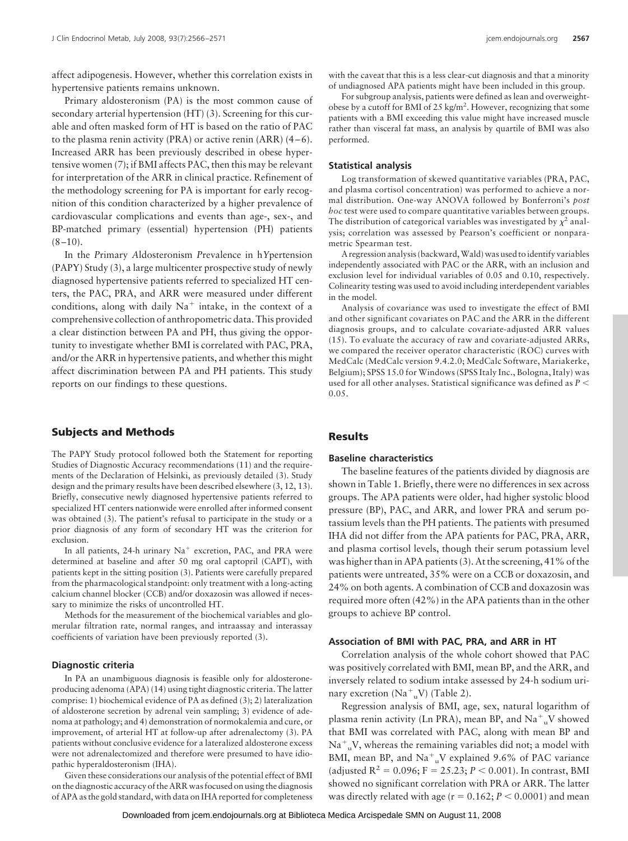affect adipogenesis. However, whether this correlation exists in hypertensive patients remains unknown.

Primary aldosteronism (PA) is the most common cause of secondary arterial hypertension (HT) (3). Screening for this curable and often masked form of HT is based on the ratio of PAC to the plasma renin activity (PRA) or active renin (ARR)  $(4-6)$ . Increased ARR has been previously described in obese hypertensive women (7); if BMI affects PAC, then this may be relevant for interpretation of the ARR in clinical practice. Refinement of the methodology screening for PA is important for early recognition of this condition characterized by a higher prevalence of cardiovascular complications and events than age-, sex-, and BP-matched primary (essential) hypertension (PH) patients  $(8 - 10)$ .

In the *P*rimary *A*ldosteronism *P*revalence in h*Y*pertension (PAPY) Study (3), a large multicenter prospective study of newly diagnosed hypertensive patients referred to specialized HT centers, the PAC, PRA, and ARR were measured under different conditions, along with daily  $Na<sup>+</sup>$  intake, in the context of a comprehensive collection of anthropometric data. This provided a clear distinction between PA and PH, thus giving the opportunity to investigate whether BMI is correlated with PAC, PRA, and/or the ARR in hypertensive patients, and whether this might affect discrimination between PA and PH patients. This study reports on our findings to these questions.

# **Subjects and Methods**

The PAPY Study protocol followed both the Statement for reporting Studies of Diagnostic Accuracy recommendations (11) and the requirements of the Declaration of Helsinki, as previously detailed (3). Study design and the primary results have been described elsewhere (3, 12, 13). Briefly, consecutive newly diagnosed hypertensive patients referred to specialized HT centers nationwide were enrolled after informed consent was obtained (3). The patient's refusal to participate in the study or a prior diagnosis of any form of secondary HT was the criterion for exclusion.

In all patients,  $24$ -h urinary  $Na<sup>+</sup>$  excretion, PAC, and PRA were determined at baseline and after 50 mg oral captopril (CAPT), with patients kept in the sitting position (3). Patients were carefully prepared from the pharmacological standpoint: only treatment with a long-acting calcium channel blocker (CCB) and/or doxazosin was allowed if necessary to minimize the risks of uncontrolled HT.

Methods for the measurement of the biochemical variables and glomerular filtration rate, normal ranges, and intraassay and interassay coefficients of variation have been previously reported (3).

#### **Diagnostic criteria**

In PA an unambiguous diagnosis is feasible only for aldosteroneproducing adenoma (APA) (14) using tight diagnostic criteria. The latter comprise: 1) biochemical evidence of PA as defined (3); 2) lateralization of aldosterone secretion by adrenal vein sampling; 3) evidence of adenoma at pathology; and 4) demonstration of normokalemia and cure, or improvement, of arterial HT at follow-up after adrenalectomy (3). PA patients without conclusive evidence for a lateralized aldosterone excess were not adrenalectomized and therefore were presumed to have idiopathic hyperaldosteronism (IHA).

Given these considerations our analysis of the potential effect of BMI on the diagnostic accuracy of the ARR was focused on using the diagnosis of APA as the gold standard, with data on IHA reported for completeness with the caveat that this is a less clear-cut diagnosis and that a minority of undiagnosed APA patients might have been included in this group.

For subgroup analysis, patients were defined as lean and overweightobese by a cutoff for BMI of 25 kg/m<sup>2</sup>. However, recognizing that some patients with a BMI exceeding this value might have increased muscle rather than visceral fat mass, an analysis by quartile of BMI was also performed.

#### **Statistical analysis**

Log transformation of skewed quantitative variables (PRA, PAC, and plasma cortisol concentration) was performed to achieve a normal distribution. One-way ANOVA followed by Bonferroni's *post hoc* test were used to compare quantitative variables between groups. The distribution of categorical variables was investigated by  $\chi^2$  analysis; correlation was assessed by Pearson's coefficient or nonparametric Spearman test.

A regression analysis (backward,Wald) was used to identify variables independently associated with PAC or the ARR, with an inclusion and exclusion level for individual variables of 0.05 and 0.10, respectively. Colinearity testing was used to avoid including interdependent variables in the model.

Analysis of covariance was used to investigate the effect of BMI and other significant covariates on PAC and the ARR in the different diagnosis groups, and to calculate covariate-adjusted ARR values (15). To evaluate the accuracy of raw and covariate-adjusted ARRs, we compared the receiver operator characteristic (ROC) curves with MedCalc (MedCalc version 9.4.2.0; MedCalc Software, Mariakerke, Belgium); SPSS 15.0 for Windows (SPSS Italy Inc., Bologna, Italy) was used for all other analyses. Statistical significance was defined as  $P$   $\leq$ 0.05.

#### **Results**

# **Baseline characteristics**

The baseline features of the patients divided by diagnosis are shown in Table 1. Briefly, there were no differences in sex across groups. The APA patients were older, had higher systolic blood pressure (BP), PAC, and ARR, and lower PRA and serum potassium levels than the PH patients. The patients with presumed IHA did not differ from the APA patients for PAC, PRA, ARR, and plasma cortisol levels, though their serum potassium level was higher than in APA patients (3). At the screening, 41% of the patients were untreated, 35% were on a CCB or doxazosin, and 24% on both agents. A combination of CCB and doxazosin was required more often (42%) in the APA patients than in the other groups to achieve BP control.

## **Association of BMI with PAC, PRA, and ARR in HT**

Correlation analysis of the whole cohort showed that PAC was positively correlated with BMI, mean BP, and the ARR, and inversely related to sodium intake assessed by 24-h sodium urinary excretion  $(Na^{+}_{u}V)$  (Table 2).

Regression analysis of BMI, age, sex, natural logarithm of plasma renin activity (Ln PRA), mean BP, and  $\mathrm{Na}^{+}$ <sub>u</sub>V showed that BMI was correlated with PAC, along with mean BP and  $\mathrm{Na}^+$ <sub>u</sub>V, whereas the remaining variables did not; a model with BMI, mean BP, and  $\text{Na}^+$ <sub>u</sub>V explained 9.6% of PAC variance (adjusted  $R^2 = 0.096$ ;  $F = 25.23$ ;  $P < 0.001$ ). In contrast, BMI showed no significant correlation with PRA or ARR. The latter was directly related with age ( $r = 0.162; P < 0.0001$ ) and mean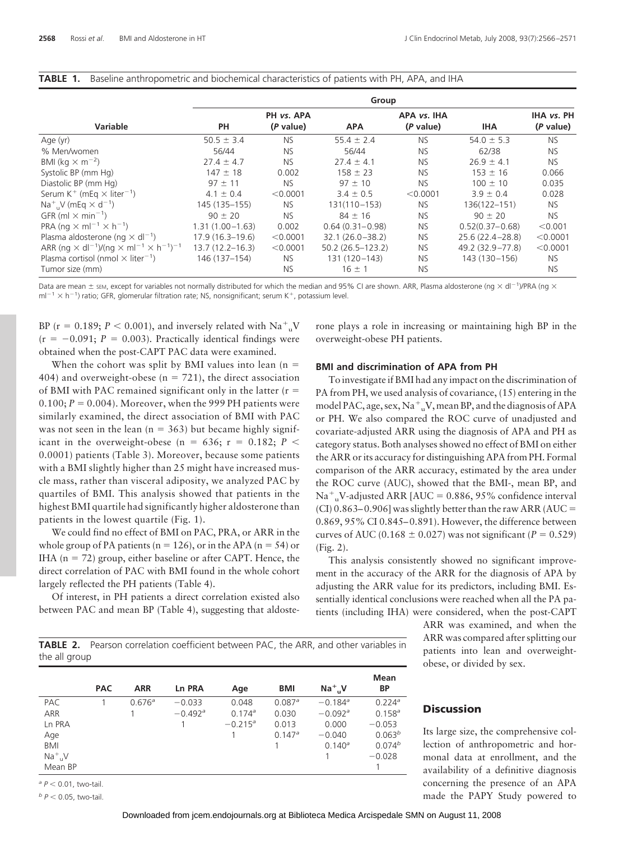|  | <b>TABLE 1.</b> Baseline anthropometric and biochemical characteristics of patients with PH, APA, and IHA |  |  |  |
|--|-----------------------------------------------------------------------------------------------------------|--|--|--|
|--|-----------------------------------------------------------------------------------------------------------|--|--|--|

|                                                                                                            | Group               |                         |                      |                          |                     |                         |  |  |
|------------------------------------------------------------------------------------------------------------|---------------------|-------------------------|----------------------|--------------------------|---------------------|-------------------------|--|--|
| Variable                                                                                                   | PH                  | PH vs. APA<br>(P value) | <b>APA</b>           | APA vs. IHA<br>(P value) | <b>IHA</b>          | IHA vs. PH<br>(P value) |  |  |
| Age (yr)                                                                                                   | $50.5 \pm 3.4$      | <b>NS</b>               | $55.4 \pm 2.4$       | NS.                      | $54.0 \pm 5.3$      | <b>NS</b>               |  |  |
| % Men/women                                                                                                | 56/44               | <b>NS</b>               | 56/44                | <b>NS</b>                | 62/38               | <b>NS</b>               |  |  |
| BMI (kg $\times$ m <sup>-2</sup> )                                                                         | $27.4 \pm 4.7$      | <b>NS</b>               | $27.4 \pm 4.1$       | <b>NS</b>                | $26.9 \pm 4.1$      | NS.                     |  |  |
| Systolic BP (mm Hg)                                                                                        | $147 \pm 18$        | 0.002                   | $158 \pm 23$         | NS.                      | $153 \pm 16$        | 0.066                   |  |  |
| Diastolic BP (mm Hg)                                                                                       | $97 \pm 11$         | <b>NS</b>               | $97 \pm 10$          | <b>NS</b>                | $100 \pm 10$        | 0.035                   |  |  |
| Serum K <sup>+</sup> (mEq $\times$ liter <sup>-1</sup> )                                                   | $4.1 \pm 0.4$       | < 0.0001                | $3.4 \pm 0.5$        | < 0.0001                 | $3.9 \pm 0.4$       | 0.028                   |  |  |
| $Na^+$ , V (mEq $\times$ d <sup>-1</sup> )                                                                 | 145 (135-155)       | NS.                     | 131(110-153)         | NS.                      | 136(122-151)        | <b>NS</b>               |  |  |
| GFR (ml $\times$ min <sup>-1</sup> )                                                                       | $90 \pm 20$         | NS.                     | $84 \pm 16$          | NS.                      | $90 \pm 20$         | NS.                     |  |  |
| PRA (ng $\times$ ml <sup>-1</sup> $\times$ h <sup>-1</sup> )                                               | $1.31(1.00 - 1.63)$ | 0.002                   | $0.64(0.31 - 0.98)$  | NS.                      | $0.52(0.37 - 0.68)$ | < 0.001                 |  |  |
| Plasma aldosterone (ng $\times$ dl <sup>-1</sup> )                                                         | $17.9(16.3-19.6)$   | < 0.0001                | $32.1(26.0 - 38.2)$  | <b>NS</b>                | $25.6(22.4 - 28.8)$ | < 0.0001                |  |  |
| ARR (ng $\times$ dl <sup>-1</sup> )/(ng $\times$ ml <sup>-1</sup> $\times$ h <sup>-1</sup> ) <sup>-1</sup> | $13.7(12.2 - 16.3)$ | < 0.0001                | $50.2(26.5 - 123.2)$ | NS.                      | 49.2 (32.9–77.8)    | < 0.0001                |  |  |
| Plasma cortisol (nmol $\times$ liter <sup>-1</sup> )                                                       | 146 (137-154)       | NS.                     | 131 (120-143)        | NS.                      | 143 (130 - 156)     | <b>NS</b>               |  |  |
| Tumor size (mm)                                                                                            |                     | <b>NS</b>               | $16 \pm 1$           | <b>NS</b>                |                     | <b>NS</b>               |  |  |

Data are mean  $\pm$  sEM, except for variables not normally distributed for which the median and 95% CI are shown. ARR, Plasma aldosterone (ng  $\times$  dl<sup>-1</sup>)/PRA (ng  $\times$  $ml^{-1} \times h^{-1}$ ) ratio; GFR, glomerular filtration rate; NS, nonsignificant; serum K<sup>+</sup>, potassium level.

BP ( $r = 0.189$ ;  $P < 0.001$ ), and inversely related with  $Na<sup>+</sup><sub>u</sub>V$  $(r = -0.091; P = 0.003)$ . Practically identical findings were obtained when the post-CAPT PAC data were examined.

When the cohort was split by BMI values into lean  $(n =$ 404) and overweight-obese ( $n = 721$ ), the direct association of BMI with PAC remained significant only in the latter  $(r =$ 0.100;  $P = 0.004$ ). Moreover, when the 999 PH patients were similarly examined, the direct association of BMI with PAC was not seen in the lean ( $n = 363$ ) but became highly significant in the overweight-obese (n = 636;  $r = 0.182; P <$ 0.0001) patients (Table 3). Moreover, because some patients with a BMI slightly higher than 25 might have increased muscle mass, rather than visceral adiposity, we analyzed PAC by quartiles of BMI. This analysis showed that patients in the highest BMI quartile had significantly higher aldosterone than patients in the lowest quartile (Fig. 1).

We could find no effect of BMI on PAC, PRA, or ARR in the whole group of PA patients ( $n = 126$ ), or in the APA ( $n = 54$ ) or IHA ( $n = 72$ ) group, either baseline or after CAPT. Hence, the direct correlation of PAC with BMI found in the whole cohort largely reflected the PH patients (Table 4).

Of interest, in PH patients a direct correlation existed also between PAC and mean BP (Table 4), suggesting that aldoste-

 $b$   $P$  < 0.05, two-tail.

rone plays a role in increasing or maintaining high BP in the overweight-obese PH patients.

## **BMI and discrimination of APA from PH**

To investigate if BMI had any impact on the discrimination of PA from PH, we used analysis of covariance, (15) entering in the model PAC, age, sex,  $\mathrm{Na^+}_u \mathrm{V}$ , mean BP, and the diagnosis of APA or PH. We also compared the ROC curve of unadjusted and covariate-adjusted ARR using the diagnosis of APA and PH as category status. Both analyses showed no effect of BMI on either the ARR or its accuracy for distinguishing APA from PH. Formal comparison of the ARR accuracy, estimated by the area under the ROC curve (AUC), showed that the BMI-, mean BP, and  $\mathrm{Na}^{+}$ <sub>u</sub>V-adjusted ARR [AUC = 0.886, 95% confidence interval (CI) 0.863–0.906] was slightly better than the raw ARR (AUC = 0.869, 95% CI 0.845– 0.891). However, the difference between curves of AUC (0.168  $\pm$  0.027) was not significant ( $P = 0.529$ ) (Fig. 2).

This analysis consistently showed no significant improvement in the accuracy of the ARR for the diagnosis of APA by adjusting the ARR value for its predictors, including BMI. Essentially identical conclusions were reached when all the PA patients (including IHA) were considered, when the post-CAPT

> ARR was examined, and when the ARR was compared after splitting our patients into lean and overweightobese, or divided by sex.

**TABLE 2.** Pearson correlation coefficient between PAC, the ARR, and other variables in the all group

|                          | <b>PAC</b> | <b>ARR</b>         | Ln PRA                | Age              | <b>BMI</b>           | $Na+$ <sub>u</sub> V  | Mean<br><b>BP</b>    |
|--------------------------|------------|--------------------|-----------------------|------------------|----------------------|-----------------------|----------------------|
| <b>PAC</b>               |            | 0.676 <sup>a</sup> | $-0.033$              | 0.048            | $0.087$ <sup>a</sup> | $-0.184$ <sup>a</sup> | $0.224$ <sup>a</sup> |
| ARR                      |            |                    | $-0.492$ <sup>a</sup> | $0.174^{\circ}$  | 0.030                | $-0.092$ <sup>a</sup> | $0.158^a$            |
| Ln PRA                   |            |                    |                       | $-0.215^{\circ}$ | 0.013                | 0.000                 | $-0.053$             |
| Age                      |            |                    |                       |                  | $0.147^a$            | $-0.040$              | 0.063 <sup>b</sup>   |
| BMI                      |            |                    |                       |                  |                      | $0.140^{\circ}$       | $0.074^{b}$          |
| $Na+$ <sub>u</sub> V     |            |                    |                       |                  |                      |                       | $-0.028$             |
| Mean BP                  |            |                    |                       |                  |                      |                       |                      |
| $^a$ P < 0.01, two-tail. |            |                    |                       |                  |                      |                       |                      |

## **Discussion**

Its large size, the comprehensive collection of anthropometric and hormonal data at enrollment, and the availability of a definitive diagnosis concerning the presence of an APA made the PAPY Study powered to

Downloaded from [jcem.endojournals.org](http://jcem.endojournals.org) at Biblioteca Medica Arcispedale SMN on August 11, 2008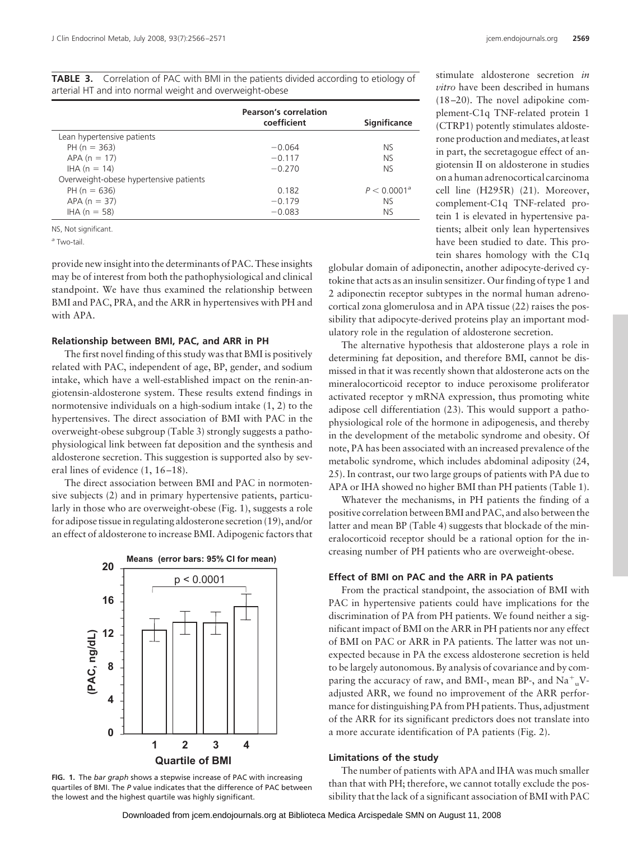**TABLE 3.** Correlation of PAC with BMI in the patients divided according to etiology of

|                                        | <b>Pearson's correlation</b><br>coefficient | <b>Significance</b>     |
|----------------------------------------|---------------------------------------------|-------------------------|
| Lean hypertensive patients             |                                             |                         |
| $PH (n = 363)$                         | $-0.064$                                    | NS.                     |
| $APA (n = 17)$                         | $-0.117$                                    | NS.                     |
| $HA (n = 14)$                          | $-0.270$                                    | NS.                     |
| Overweight-obese hypertensive patients |                                             |                         |
| PH ( $n = 636$ )                       | 0.182                                       | P < 0.0001 <sup>a</sup> |
| $APA (n = 37)$                         | $-0.179$                                    | NS.                     |
| $HA (n = 58)$                          | $-0.083$                                    | NS.                     |

NS, Not significant.

*<sup>a</sup>* Two-tail.

provide new insight into the determinants of PAC. These insights may be of interest from both the pathophysiological and clinical standpoint. We have thus examined the relationship between BMI and PAC, PRA, and the ARR in hypertensives with PH and with APA.

#### **Relationship between BMI, PAC, and ARR in PH**

The first novel finding of this study was that BMI is positively related with PAC, independent of age, BP, gender, and sodium intake, which have a well-established impact on the renin-angiotensin-aldosterone system. These results extend findings in normotensive individuals on a high-sodium intake (1, 2) to the hypertensives. The direct association of BMI with PAC in the overweight-obese subgroup (Table 3) strongly suggests a pathophysiological link between fat deposition and the synthesis and aldosterone secretion. This suggestion is supported also by several lines of evidence  $(1, 16-18)$ .

The direct association between BMI and PAC in normotensive subjects (2) and in primary hypertensive patients, particularly in those who are overweight-obese (Fig. 1), suggests a role for adipose tissue in regulating aldosterone secretion (19), and/or an effect of aldosterone to increase BMI. Adipogenic factors that



**FIG. 1.** The *bar graph* shows a stepwise increase of PAC with increasing quartiles of BMI. The *P* value indicates that the difference of PAC between the lowest and the highest quartile was highly significant.

stimulate aldosterone secretion *in vitro* have been described in humans (18 –20). The novel adipokine complement-C1q TNF-related protein 1 (CTRP1) potently stimulates aldosterone production and mediates, at least in part, the secretagogue effect of angiotensin II on aldosterone in studies on a human adrenocortical carcinoma cell line (H295R) (21). Moreover, complement-C1q TNF-related protein 1 is elevated in hypertensive patients; albeit only lean hypertensives have been studied to date. This protein shares homology with the C1q

globular domain of adiponectin, another adipocyte-derived cytokine that acts as an insulin sensitizer. Our finding of type 1 and 2 adiponectin receptor subtypes in the normal human adrenocortical zona glomerulosa and in APA tissue (22) raises the possibility that adipocyte-derived proteins play an important modulatory role in the regulation of aldosterone secretion.

The alternative hypothesis that aldosterone plays a role in determining fat deposition, and therefore BMI, cannot be dismissed in that it was recently shown that aldosterone acts on the mineralocorticoid receptor to induce peroxisome proliferator activated receptor  $\gamma$  mRNA expression, thus promoting white adipose cell differentiation (23). This would support a pathophysiological role of the hormone in adipogenesis, and thereby in the development of the metabolic syndrome and obesity. Of note, PA has been associated with an increased prevalence of the metabolic syndrome, which includes abdominal adiposity (24, 25). In contrast, our two large groups of patients with PA due to APA or IHA showed no higher BMI than PH patients (Table 1).

Whatever the mechanisms, in PH patients the finding of a positive correlation between BMI and PAC, and also between the latter and mean BP (Table 4) suggests that blockade of the mineralocorticoid receptor should be a rational option for the increasing number of PH patients who are overweight-obese.

### **Effect of BMI on PAC and the ARR in PA patients**

From the practical standpoint, the association of BMI with PAC in hypertensive patients could have implications for the discrimination of PA from PH patients. We found neither a significant impact of BMI on the ARR in PH patients nor any effect of BMI on PAC or ARR in PA patients. The latter was not unexpected because in PA the excess aldosterone secretion is held to be largely autonomous. By analysis of covariance and by comparing the accuracy of raw, and BMI-, mean BP-, and Na<sup>+</sup><sub>u</sub>Vadjusted ARR, we found no improvement of the ARR performance for distinguishing PA from PH patients. Thus, adjustment of the ARR for its significant predictors does not translate into a more accurate identification of PA patients (Fig. 2).

#### **Limitations of the study**

The number of patients with APA and IHA was much smaller than that with PH; therefore, we cannot totally exclude the possibility that the lack of a significant association of BMI with PAC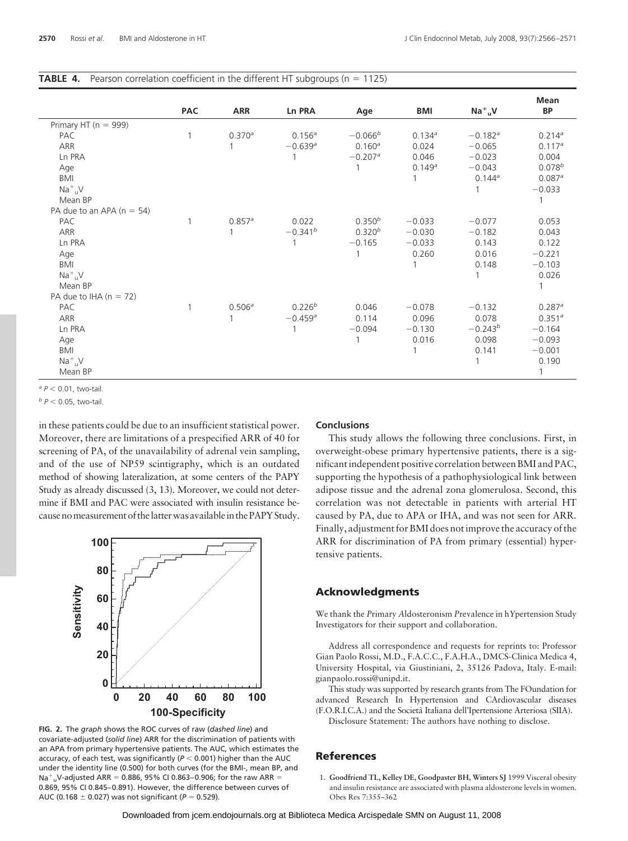| <b>TABLE 4.</b> Pearson correlation coefficient in the different HT subgroups ( $n = 1125$ ) |  |
|----------------------------------------------------------------------------------------------|--|
|----------------------------------------------------------------------------------------------|--|

|                               | <b>PAC</b> | <b>ARR</b>         | <b>Ln PRA</b>         | Age                   | BMI          | $Na+uV$               | <b>Mean</b><br>BP    |
|-------------------------------|------------|--------------------|-----------------------|-----------------------|--------------|-----------------------|----------------------|
| Primary HT ( $n = 999$ )      |            |                    |                       |                       |              |                       |                      |
| PAC                           |            | 0.370a             | $0.156^a$             | $-0.066b$             | 0.134a       | $-0.182$ <sup>a</sup> | $0.214^a$            |
| ARR                           |            |                    | $-0.639$ <sup>a</sup> | $0.160^a$             | 0.024        | $-0.065$              | $0.117^a$            |
| Ln PRA                        |            |                    |                       | $-0.207$ <sup>a</sup> | 0.046        | $-0.023$              | 0.004                |
| Age                           |            |                    |                       |                       | 0.149a       | $-0.043$              | $0.078^{b}$          |
| <b>BMI</b>                    |            |                    |                       |                       |              | $0.144^a$             | $0.087$ <sup>a</sup> |
| $Na+uV$                       |            |                    |                       |                       |              |                       | $-0.033$             |
| Mean BP                       |            |                    |                       |                       |              |                       |                      |
| PA due to an APA ( $n = 54$ ) |            |                    |                       |                       |              |                       |                      |
| PAC                           |            | $0.857^a$          | 0.022                 | $0.350^{b}$           | $-0.033$     | $-0.077$              | 0.053                |
| ARR                           |            |                    | $-0.341^{b}$          | $0.320^{b}$           | $-0.030$     | $-0.182$              | 0.043                |
| Ln PRA                        |            |                    |                       | $-0.165$              | $-0.033$     | 0.143                 | 0.122                |
| Age                           |            |                    |                       |                       | 0.260        | 0.016                 | $-0.221$             |
| BMI                           |            |                    |                       |                       | 1            | 0.148                 | $-0.103$             |
| $Na+IIV$                      |            |                    |                       |                       |              |                       | 0.026                |
| Mean BP                       |            |                    |                       |                       |              |                       |                      |
| PA due to IHA $(n = 72)$      |            |                    |                       |                       |              |                       |                      |
| PAC                           |            | 0.506 <sup>a</sup> | $0.226^{b}$           | 0.046                 | $-0.078$     | $-0.132$              | $0.287$ <sup>a</sup> |
| ARR                           |            |                    | $-0.459$ <sup>a</sup> | 0.114                 | 0.096        | 0.078                 | 0.351 <sup>a</sup>   |
| Ln PRA                        |            |                    |                       | $-0.094$              | $-0.130$     | $-0.243^{b}$          | $-0.164$             |
| Age                           |            |                    |                       | 1                     | 0.016        | 0.098                 | $-0.093$             |
| BMI                           |            |                    |                       |                       | $\mathbf{1}$ | 0.141                 | $-0.001$             |
| $Na+_{U}V$                    |            |                    |                       |                       |              |                       | 0.190                |
| Mean BP                       |            |                    |                       |                       |              |                       |                      |

*a*  $P$  < 0.01, two-tail.

 $b$   $P$  < 0.05, two-tail.

in these patients could be due to an insufficient statistical power. Moreover, there are limitations of a prespecified ARR of 40 for screening of PA, of the unavailability of adrenal vein sampling, and of the use of NP59 scintigraphy, which is an outdated method of showing lateralization, at some centers of the PAPY Study as already discussed (3, 13). Moreover, we could not determine if BMI and PAC were associated with insulin resistance because nomeasurement of thelatterwas availablein the PAPY Study.



**FIG. 2.** The *graph* shows the ROC curves of raw (*dashed line*) and covariate-adjusted (*solid line*) ARR for the discrimination of patients with an APA from primary hypertensive patients. The AUC, which estimates the accuracy, of each test, was significantly ( $P$   $<$  0.001) higher than the AUC  $\,$ under the identity line (0.500) for both curves (for the BMI-, mean BP, and Na<sup>+</sup><sub>u</sub>V-adjusted ARR = 0.886, 95% CI 0.863–0.906; for the raw ARR = 0.869, 95% CI 0.845– 0.891). However, the difference between curves of AUC (0.168  $\pm$  0.027) was not significant ( $P = 0.529$ ).

#### **Conclusions**

This study allows the following three conclusions. First, in overweight-obese primary hypertensive patients, there is a significant independent positive correlation between BMI and PAC, supporting the hypothesis of a pathophysiological link between adipose tissue and the adrenal zona glomerulosa. Second, this correlation was not detectable in patients with arterial HT caused by PA, due to APA or IHA, and was not seen for ARR. Finally, adjustment for BMI does not improve the accuracy of the ARR for discrimination of PA from primary (essential) hypertensive patients.

## **Acknowledgments**

We thank the *P*rimary *A*ldosteronism *P*revalence in h*Y*pertension Study Investigators for their support and collaboration.

Address all correspondence and requests for reprints to: Professor Gian Paolo Rossi, M.D., F.A.C.C., F.A.H.A., DMCS-Clinica Medica 4, University Hospital, via Giustiniani, 2, 35126 Padova, Italy. E-mail: gianpaolo.rossi@unipd.it.

This study was supported by research grants from The FOundation for advanced Research In Hypertension and CArdiovascular diseases (F.O.R.I.C.A.) and the Societa` Italiana dell'Ipertensione Arteriosa (SIIA).

Disclosure Statement: The authors have nothing to disclose.

# **References**

1. **Goodfriend TL, Kelley DE, Goodpaster BH, Winters SJ** 1999 Visceral obesity and insulin resistance are associated with plasma aldosterone levels in women. Obes Res 7:355–362